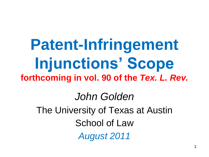**Patent-Infringement Injunctions' Scope forthcoming in vol. 90 of the** *Tex. L. Rev. John Golden* The University of Texas at Austin School of Law *August 2011*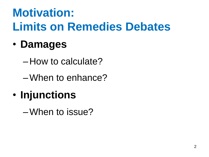## **Motivation: Limits on Remedies Debates**

#### • **Damages**

– How to calculate?

–When to enhance?

#### • **Injunctions**

–When to issue?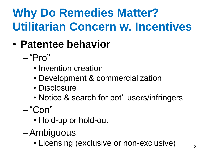# **Why Do Remedies Matter? Utilitarian Concern w. Incentives**

- **Patentee behavior**
	- $-$ "Pro"
		- Invention creation
		- Development & commercialization
		- Disclosure
		- Notice & search for pot'l users/infringers

— "Con"

- Hold-up or hold-out
- –Ambiguous
	- Licensing (exclusive or non-exclusive)  $\frac{3}{3}$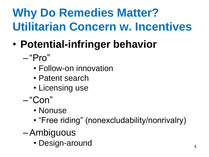# **Why Do Remedies Matter? Utilitarian Concern w. Incentives**

- **Potential-infringer behavior**
	- $-$ "Pro"
		- Follow-on innovation
		- Patent search
		- Licensing use
	- "Con"
		- Nonuse
		- "Free riding" (nonexcludability/nonrivalry)
	- –Ambiguous
		- Design-around 4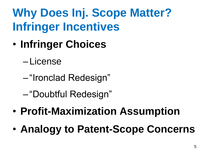### **Why Does Inj. Scope Matter? Infringer Incentives**

- **Infringer Choices**
	- License
	- "Ironclad Redesign"
	- "Doubtful Redesign"
- **Profit-Maximization Assumption**
- **Analogy to Patent-Scope Concerns**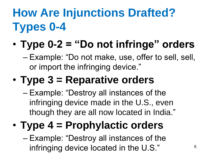# **How Are Injunctions Drafted? Types 0-4**

#### • **Type 0-2 = "Do not infringe" orders**

– Example: "Do not make, use, offer to sell, sell, or import the infringing device."

#### • **Type 3 = Reparative orders**

– Example: "Destroy all instances of the infringing device made in the U.S., even though they are all now located in India."

#### • **Type 4 = Prophylactic orders**

– Example: "Destroy all instances of the infringing device located in the U.S."  $6$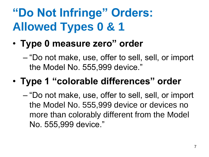### **"Do Not Infringe" Orders: Allowed Types 0 & 1**

• **Type 0 measure zero" order**

– ―Do not make, use, offer to sell, sell, or import the Model No. 555,999 device."

#### • **Type 1 "colorable differences" order**

– "Do not make, use, offer to sell, sell, or import the Model No. 555,999 device or devices no more than colorably different from the Model No. 555,999 device."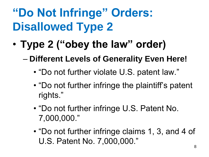# **"Do Not Infringe" Orders: Disallowed Type 2**

• **Type 2 ("obey the law" order)**

– **Different Levels of Generality Even Here!**

- "Do not further violate U.S. patent law."
- "Do not further infringe the plaintiff's patent rights."
- "Do not further infringe U.S. Patent No. 7,000,000.‖
- "Do not further infringe claims 1, 3, and 4 of U.S. Patent No. 7,000,000."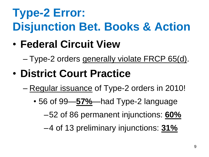# **Type-2 Error: Disjunction Bet. Books & Action**

- **Federal Circuit View** 
	- Type-2 orders generally violate FRCP 65(d).
- **District Court Practice**
	- Regular issuance of Type-2 orders in 2010!
		- 56 of 99—**57%**—had Type-2 language

–52 of 86 permanent injunctions: **60%**

–4 of 13 preliminary injunctions: **31%**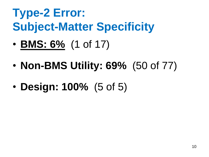#### **Type-2 Error: Subject-Matter Specificity**

- **BMS: 6%** (1 of 17)
- **Non-BMS Utility: 69%** (50 of 77)
- **Design: 100%** (5 of 5)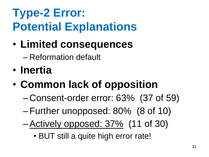### **Type-2 Error: Potential Explanations**

• **Limited consequences** 

– Reformation default

- **Inertia**
- **Common lack of opposition**
	- Consent-order error: 63% (37 of 59)
	- –Further unopposed: 80% (8 of 10)
	- –Actively opposed: 37% (11 of 30)
		- BUT still a quite high error rate!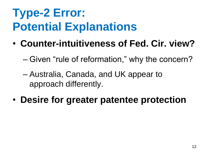### **Type-2 Error: Potential Explanations**

- **Counter-intuitiveness of Fed. Cir. view?**
	- Given "rule of reformation," why the concern?
	- Australia, Canada, and UK appear to approach differently.
- **Desire for greater patentee protection**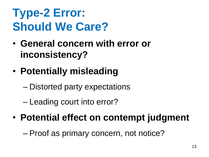#### **Type-2 Error: Should We Care?**

- **General concern with error or inconsistency?**
- **Potentially misleading**
	- Distorted party expectations
	- Leading court into error?
- **Potential effect on contempt judgment**
	- Proof as primary concern, not notice?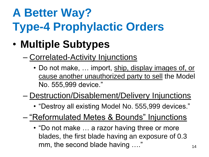# **A Better Way? Type-4 Prophylactic Orders**

- **Multiple Subtypes**
	- Correlated-Activity Injunctions
		- Do not make, ... import, ship, display images of, or cause another unauthorized party to sell the Model No. 555,999 device."
	- Destruction/Disablement/Delivery Injunctions
		- "Destroy all existing Model No. 555,999 devices."
	- "Reformulated Metes & Bounds" Injunctions
		- "Do not make ... a razor having three or more blades, the first blade having an exposure of 0.3 mm, the second blade having …." The second blade having  $\frac{14}{14}$